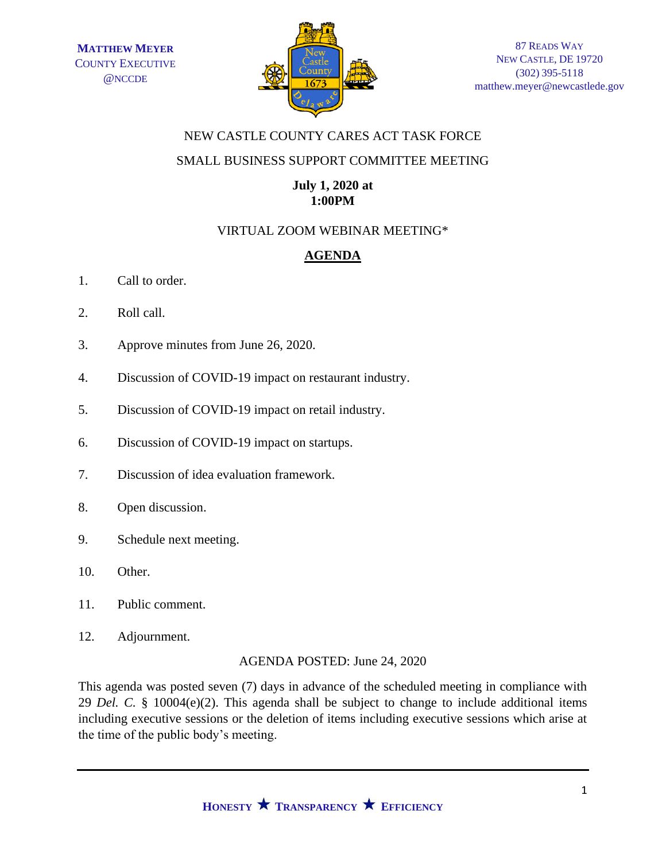

# NEW CASTLE COUNTY CARES ACT TASK FORCE

# SMALL BUSINESS SUPPORT COMMITTEE MEETING

# **July 1, 2020 at 1:00PM**

# VIRTUAL ZOOM WEBINAR MEETING\*

# **AGENDA**

- 1. Call to order.
- 2. Roll call.
- 3. Approve minutes from June 26, 2020.
- 4. Discussion of COVID-19 impact on restaurant industry.
- 5. Discussion of COVID-19 impact on retail industry.
- 6. Discussion of COVID-19 impact on startups.
- 7. Discussion of idea evaluation framework.
- 8. Open discussion.
- 9. Schedule next meeting.
- 10. Other.
- 11. Public comment.
- 12. Adjournment.

#### AGENDA POSTED: June 24, 2020

This agenda was posted seven (7) days in advance of the scheduled meeting in compliance with 29 *Del. C.* § 10004(e)(2). This agenda shall be subject to change to include additional items including executive sessions or the deletion of items including executive sessions which arise at the time of the public body's meeting.